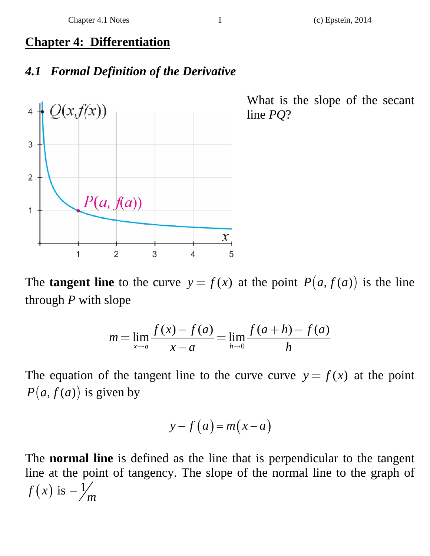## **Chapter 4: Differentiation**

## *4.1 Formal Definition of the Derivative*



What is the slope of the secant line *PQ*?

The **tangent line** to the curve  $y = f(x)$  at the point  $P(a, f(a))$  is the line through *P* with slope

$$
m = \lim_{x \to a} \frac{f(x) - f(a)}{x - a} = \lim_{h \to 0} \frac{f(a+h) - f(a)}{h}
$$

The equation of the tangent line to the curve curve  $y = f(x)$  at the point  $P(a, f(a))$  is given by

$$
y - f(a) = m(x - a)
$$

The **normal line** is defined as the line that is perpendicular to the tangent line at the point of tangency. The slope of the normal line to the graph of  $f(x)$  is  $-\frac{1}{m}$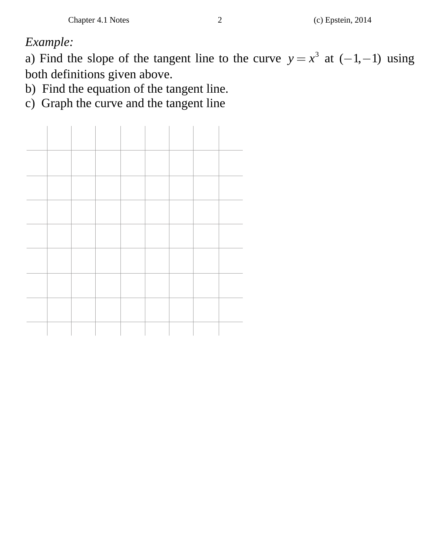*Example:* 

a) Find the slope of the tangent line to the curve  $y = x^3$  at  $(-1, -1)$  using both definitions given above.

b) Find the equation of the tangent line.

c) Graph the curve and the tangent line

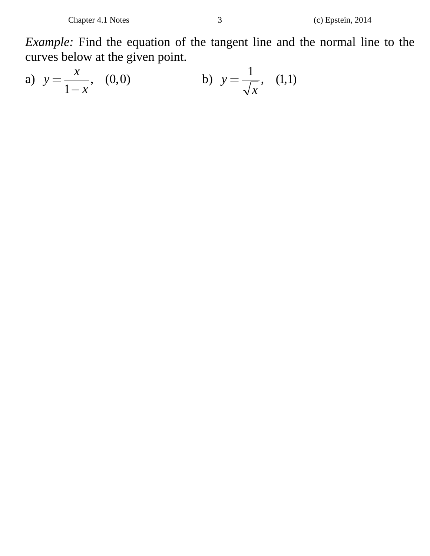*Example:* Find the equation of the tangent line and the normal line to the curves below at the given point.

a) 
$$
y = \frac{x}{1-x}
$$
, (0,0) b)  $y = \frac{1}{\sqrt{x}}$ , (1,1)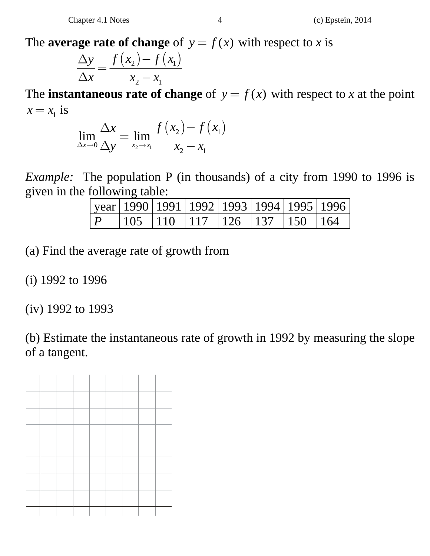The **average rate of change** of  $y = f(x)$  with respect to *x* is

$$
\frac{\Delta y}{\Delta x} = \frac{f(x_2) - f(x_1)}{x_2 - x_1}
$$

The **instantaneous rate of change** of  $y = f(x)$  with respect to *x* at the point  $x = x_1$  is

$$
\lim_{\Delta x \to 0} \frac{\Delta x}{\Delta y} = \lim_{x_2 \to x_1} \frac{f(x_2) - f(x_1)}{x_2 - x_1}
$$

*Example:* The population P (in thousands) of a city from 1990 to 1996 is given in the following table:

|  | year   1990   1991   1992   1993   1994   1995   1996                   |  |  |  |
|--|-------------------------------------------------------------------------|--|--|--|
|  | $\vert 105 \vert 110 \vert 117 \vert 126 \vert 137 \vert 150 \vert 164$ |  |  |  |

(a) Find the average rate of growth from

(i) 1992 to 1996

(iv) 1992 to 1993

(b) Estimate the instantaneous rate of growth in 1992 by measuring the slope of a tangent.

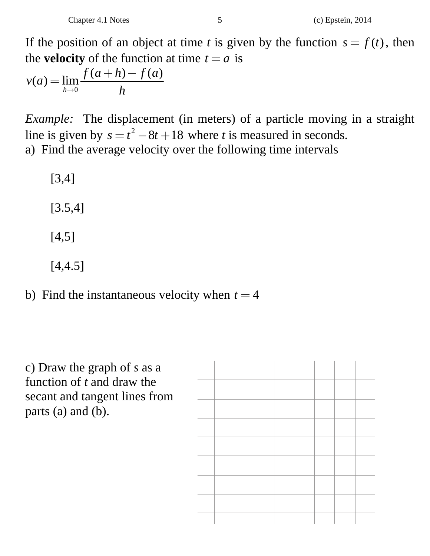If the position of an object at time *t* is given by the function  $s = f(t)$ , then the **velocity** of the function at time  $t = a$  is

$$
v(a) = \lim_{h \to 0} \frac{f(a+h) - f(a)}{h}
$$

*Example:* The displacement (in meters) of a particle moving in a straight line is given by  $s = t^2 - 8t + 18$  where *t* is measured in seconds. a) Find the average velocity over the following time intervals

[3,4]

[3.5,4]

- [4,5]
- [4,4.5]

b) Find the instantaneous velocity when  $t = 4$ 

c) Draw the graph of *s* as a function of *t* and draw the secant and tangent lines from parts (a) and (b).

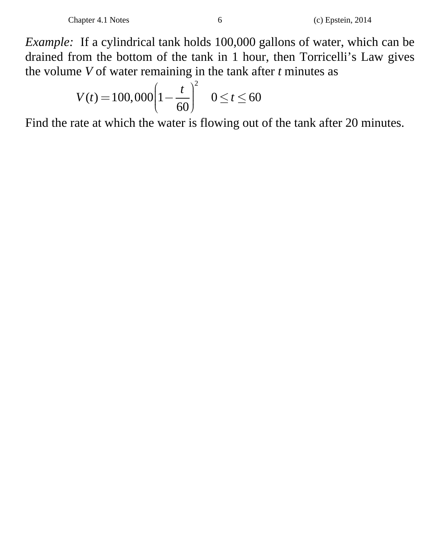*Example:* If a cylindrical tank holds 100,000 gallons of water, which can be drained from the bottom of the tank in 1 hour, then Torricelli's Law gives the volume *V* of water remaining in the tank after *t* minutes as

$$
V(t) = 100,000 \left(1 - \frac{t}{60}\right)^2 \quad 0 \le t \le 60
$$

Find the rate at which the water is flowing out of the tank after 20 minutes.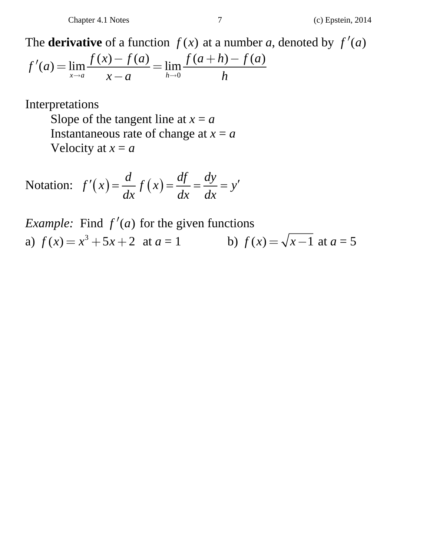The **derivative** of a function  $f(x)$  at a number *a*, denoted by  $f'(a)$ 

$$
f'(a) = \lim_{x \to a} \frac{f(x) - f(a)}{x - a} = \lim_{h \to 0} \frac{f(a+h) - f(a)}{h}
$$

Interpretations

Slope of the tangent line at  $x = a$ Instantaneous rate of change at  $x = a$ Velocity at  $x = a$ 

Notation: 
$$
f'(x) = \frac{d}{dx} f(x) = \frac{df}{dx} = \frac{dy}{dx} = y'
$$

*Example:* Find  $f'(a)$  for the given functions a)  $f(x) = x^3 + 5x + 2$  at  $a = 1$  b)  $f(x) = \sqrt{x-1}$  at  $a = 5$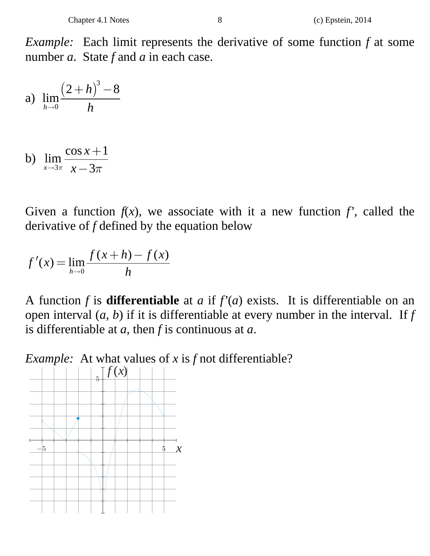*Example:* Each limit represents the derivative of some function *f* at some number *a*. State *f* and *a* in each case.

a) 
$$
\lim_{h \to 0} \frac{(2+h)^3 - 8}{h}
$$

b) 
$$
\lim_{x \to 3\pi} \frac{\cos x + 1}{x - 3\pi}
$$

Given a function  $f(x)$ , we associate with it a new function  $f'$ , called the derivative of *f* defined by the equation below

$$
f'(x) = \lim_{h \to 0} \frac{f(x+h) - f(x)}{h}
$$

A function *f* is **differentiable** at *a* if  $f'(a)$  exists. It is differentiable on an open interval  $(a, b)$  if it is differentiable at every number in the interval. If  $f$ is differentiable at *a*, then *f* is continuous at *a*.

*Example:* At what values of *x* is *f* not differentiable?